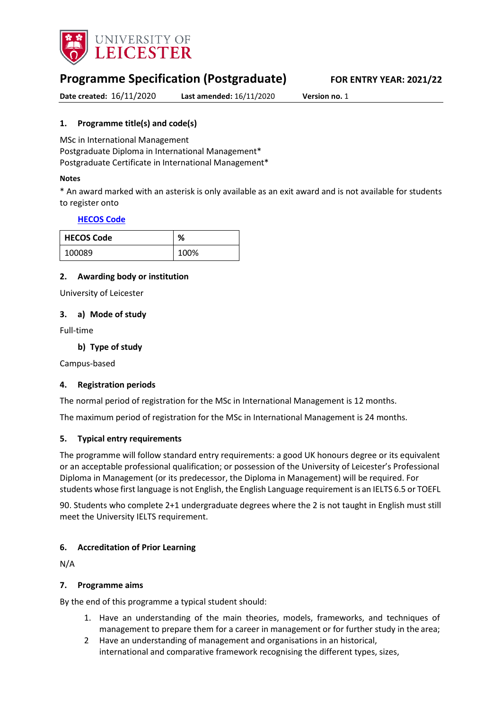

# **Programme Specification (Postgraduate) FOR ENTRY YEAR: 2021/22**

**Date created:** 16/11/2020 **Last amended:** 16/11/2020 **Version no.** 1

# <span id="page-0-0"></span>**1. Programme title(s) and code(s)**

MSc in International Management Postgraduate Diploma in International Management\* Postgraduate Certificate in International Management\*

#### **Notes**

\* An award marked with an asterisk is only available as an exit award and is not available for students to register onto

# **[HECOS Code](https://www.hesa.ac.uk/innovation/hecos)**

| <b>HECOS Code</b> | ℅    |
|-------------------|------|
| 100089            | 100% |

# **2. Awarding body or institution**

University of Leicester

# **3. a) Mode of study**

Full-time

**b) Type of study**

Campus-based

# **4. Registration periods**

The normal period of registration for the MSc in International Management is 12 months.

The maximum period of registration for the MSc in International Management is 24 months.

# **5. Typical entry requirements**

The programme will follow standard entry requirements: a good UK honours degree or its equivalent or an acceptable professional qualification; or possession of the University of Leicester's Professional Diploma in Management (or its predecessor, the Diploma in Management) will be required. For students whose first language is not English, the English Language requirement is an IELTS 6.5 or TOEFL

90. Students who complete 2+1 undergraduate degrees where the 2 is not taught in English must still meet the University IELTS requirement.

# **6. Accreditation of Prior Learning**

N/A

# **7. Programme aims**

By the end of this programme a typical student should:

- 1. Have an understanding of the main theories, models, frameworks, and techniques of management to prepare them for a career in management or for further study in the area;
- 2 Have an understanding of management and organisations in an historical, international and comparative framework recognising the different types, sizes,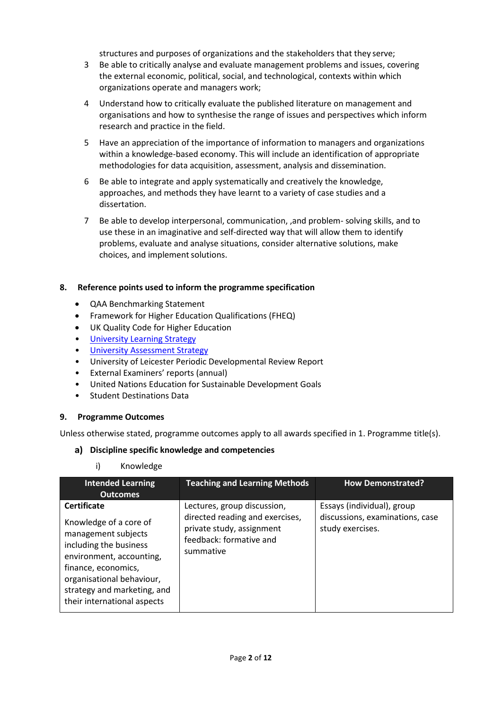structures and purposes of organizations and the stakeholders that they serve;

- 3 Be able to critically analyse and evaluate management problems and issues, covering the external economic, political, social, and technological, contexts within which organizations operate and managers work;
- 4 Understand how to critically evaluate the published literature on management and organisations and how to synthesise the range of issues and perspectives which inform research and practice in the field.
- 5 Have an appreciation of the importance of information to managers and organizations within a knowledge-based economy. This will include an identification of appropriate methodologies for data acquisition, assessment, analysis and dissemination.
- 6 Be able to integrate and apply systematically and creatively the knowledge, approaches, and methods they have learnt to a variety of case studies and a dissertation.
- 7 Be able to develop interpersonal, communication, ,and problem- solving skills, and to use these in an imaginative and self-directed way that will allow them to identify problems, evaluate and analyse situations, consider alternative solutions, make choices, and implement solutions.

# **8. Reference points used to inform the programme specification**

- QAA Benchmarking Statement
- Framework for Higher Education Qualifications (FHEQ)
- UK Quality Code for Higher Education
- [University Learning](https://www2.le.ac.uk/offices/sas2/quality/learnteach) Strategy
- [University Assessment Strategy](https://www2.le.ac.uk/offices/sas2/quality/learnteach)
- University of Leicester Periodic Developmental Review Report
- External Examiners' reports (annual)
- United Nations Education for Sustainable Development Goals
- Student Destinations Data

# **9. Programme Outcomes**

Unless otherwise stated, programme outcomes apply to all awards specified in [1.](#page-0-0) Programme title(s).

# **Discipline specific knowledge and competencies**

i) Knowledge

| <b>Intended Learning</b>                                                                                                                                                                                                                    | <b>Teaching and Learning Methods</b>                                                                                                | <b>How Demonstrated?</b>                                                          |
|---------------------------------------------------------------------------------------------------------------------------------------------------------------------------------------------------------------------------------------------|-------------------------------------------------------------------------------------------------------------------------------------|-----------------------------------------------------------------------------------|
| <b>Outcomes</b>                                                                                                                                                                                                                             |                                                                                                                                     |                                                                                   |
| <b>Certificate</b><br>Knowledge of a core of<br>management subjects<br>including the business<br>environment, accounting,<br>finance, economics,<br>organisational behaviour,<br>strategy and marketing, and<br>their international aspects | Lectures, group discussion,<br>directed reading and exercises,<br>private study, assignment<br>feedback: formative and<br>summative | Essays (individual), group<br>discussions, examinations, case<br>study exercises. |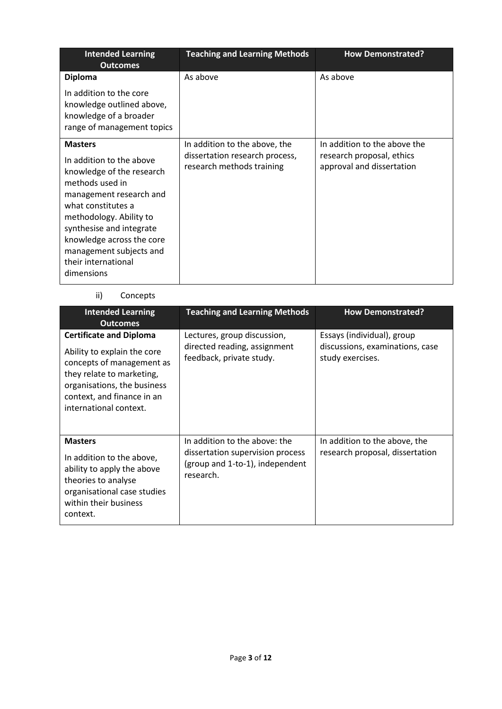| <b>Intended Learning</b><br><b>Outcomes</b>                                                                                                                                                                                                                                                     | <b>Teaching and Learning Methods</b>                                                         | <b>How Demonstrated?</b>                                                               |
|-------------------------------------------------------------------------------------------------------------------------------------------------------------------------------------------------------------------------------------------------------------------------------------------------|----------------------------------------------------------------------------------------------|----------------------------------------------------------------------------------------|
| <b>Diploma</b><br>In addition to the core<br>knowledge outlined above,<br>knowledge of a broader<br>range of management topics                                                                                                                                                                  | As above                                                                                     | As above                                                                               |
| <b>Masters</b><br>In addition to the above<br>knowledge of the research<br>methods used in<br>management research and<br>what constitutes a<br>methodology. Ability to<br>synthesise and integrate<br>knowledge across the core<br>management subjects and<br>their international<br>dimensions | In addition to the above, the<br>dissertation research process,<br>research methods training | In addition to the above the<br>research proposal, ethics<br>approval and dissertation |

# ii) Concepts

| <b>Intended Learning</b><br><b>Outcomes</b>                                                                                                                                                                    | <b>Teaching and Learning Methods</b>                                                                              | <b>How Demonstrated?</b>                                                          |
|----------------------------------------------------------------------------------------------------------------------------------------------------------------------------------------------------------------|-------------------------------------------------------------------------------------------------------------------|-----------------------------------------------------------------------------------|
| <b>Certificate and Diploma</b><br>Ability to explain the core<br>concepts of management as<br>they relate to marketing,<br>organisations, the business<br>context, and finance in an<br>international context. | Lectures, group discussion,<br>directed reading, assignment<br>feedback, private study.                           | Essays (individual), group<br>discussions, examinations, case<br>study exercises. |
| <b>Masters</b><br>In addition to the above,<br>ability to apply the above<br>theories to analyse<br>organisational case studies<br>within their business<br>context.                                           | In addition to the above: the<br>dissertation supervision process<br>(group and 1-to-1), independent<br>research. | In addition to the above, the<br>research proposal, dissertation                  |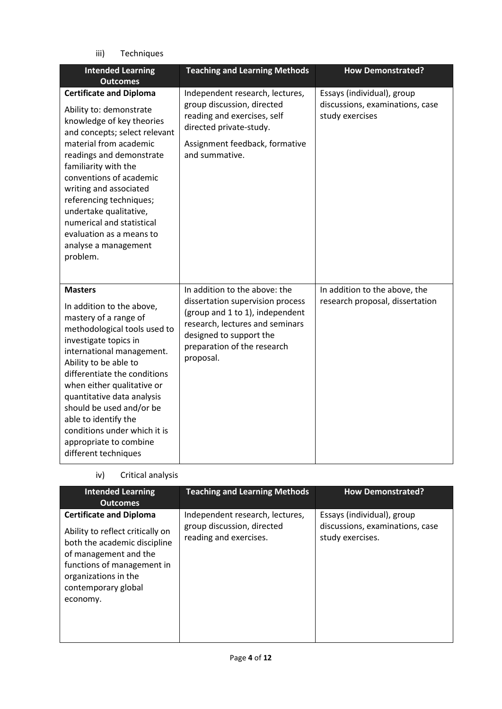iii) Techniques

| <b>Intended Learning</b><br><b>Outcomes</b>                                                                                                                                                                                                                                                                                                                                                                           | <b>Teaching and Learning Methods</b>                                                                                                                                                                           | <b>How Demonstrated?</b>                                                         |
|-----------------------------------------------------------------------------------------------------------------------------------------------------------------------------------------------------------------------------------------------------------------------------------------------------------------------------------------------------------------------------------------------------------------------|----------------------------------------------------------------------------------------------------------------------------------------------------------------------------------------------------------------|----------------------------------------------------------------------------------|
| <b>Certificate and Diploma</b><br>Ability to: demonstrate<br>knowledge of key theories<br>and concepts; select relevant<br>material from academic<br>readings and demonstrate<br>familiarity with the<br>conventions of academic<br>writing and associated<br>referencing techniques;<br>undertake qualitative,<br>numerical and statistical<br>evaluation as a means to<br>analyse a management<br>problem.          | Independent research, lectures,<br>group discussion, directed<br>reading and exercises, self<br>directed private-study.<br>Assignment feedback, formative<br>and summative.                                    | Essays (individual), group<br>discussions, examinations, case<br>study exercises |
| <b>Masters</b><br>In addition to the above,<br>mastery of a range of<br>methodological tools used to<br>investigate topics in<br>international management.<br>Ability to be able to<br>differentiate the conditions<br>when either qualitative or<br>quantitative data analysis<br>should be used and/or be<br>able to identify the<br>conditions under which it is<br>appropriate to combine<br>different techniques | In addition to the above: the<br>dissertation supervision process<br>(group and 1 to 1), independent<br>research, lectures and seminars<br>designed to support the<br>preparation of the research<br>proposal. | In addition to the above, the<br>research proposal, dissertation                 |

| iv) | Critical analysis |  |
|-----|-------------------|--|

| <b>Intended Learning</b><br><b>Outcomes</b>                                                                                                                                                                          | <b>Teaching and Learning Methods</b>                                                    | <b>How Demonstrated?</b>                                                          |
|----------------------------------------------------------------------------------------------------------------------------------------------------------------------------------------------------------------------|-----------------------------------------------------------------------------------------|-----------------------------------------------------------------------------------|
| <b>Certificate and Diploma</b><br>Ability to reflect critically on<br>both the academic discipline<br>of management and the<br>functions of management in<br>organizations in the<br>contemporary global<br>economy. | Independent research, lectures,<br>group discussion, directed<br>reading and exercises. | Essays (individual), group<br>discussions, examinations, case<br>study exercises. |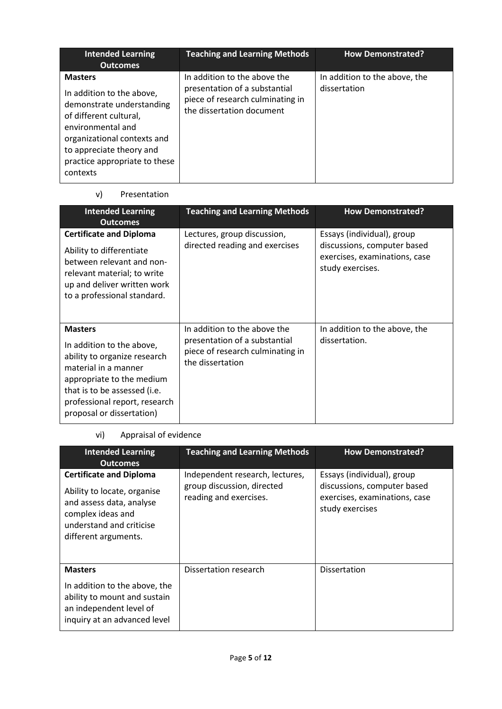| <b>Intended Learning</b><br><b>Outcomes</b>                                                                                                                                                                                     | <b>Teaching and Learning Methods</b>                                                                                           | <b>How Demonstrated?</b>                      |
|---------------------------------------------------------------------------------------------------------------------------------------------------------------------------------------------------------------------------------|--------------------------------------------------------------------------------------------------------------------------------|-----------------------------------------------|
| <b>Masters</b><br>In addition to the above,<br>demonstrate understanding<br>of different cultural,<br>environmental and<br>organizational contexts and<br>to appreciate theory and<br>practice appropriate to these<br>contexts | In addition to the above the<br>presentation of a substantial<br>piece of research culminating in<br>the dissertation document | In addition to the above, the<br>dissertation |

# v) Presentation

| <b>Intended Learning</b><br><b>Outcomes</b>                                                                                                                                                                                    | <b>Teaching and Learning Methods</b>                                                                                  | <b>How Demonstrated?</b>                                                                                       |
|--------------------------------------------------------------------------------------------------------------------------------------------------------------------------------------------------------------------------------|-----------------------------------------------------------------------------------------------------------------------|----------------------------------------------------------------------------------------------------------------|
| <b>Certificate and Diploma</b><br>Ability to differentiate<br>between relevant and non-<br>relevant material; to write<br>up and deliver written work<br>to a professional standard.                                           | Lectures, group discussion,<br>directed reading and exercises                                                         | Essays (individual), group<br>discussions, computer based<br>exercises, examinations, case<br>study exercises. |
| <b>Masters</b><br>In addition to the above,<br>ability to organize research<br>material in a manner<br>appropriate to the medium<br>that is to be assessed (i.e.<br>professional report, research<br>proposal or dissertation) | In addition to the above the<br>presentation of a substantial<br>piece of research culminating in<br>the dissertation | In addition to the above, the<br>dissertation.                                                                 |

# vi) Appraisal of evidence

| <b>Intended Learning</b><br><b>Outcomes</b>                                                                                                                        | <b>Teaching and Learning Methods</b>                                                    | <b>How Demonstrated?</b>                                                                                      |
|--------------------------------------------------------------------------------------------------------------------------------------------------------------------|-----------------------------------------------------------------------------------------|---------------------------------------------------------------------------------------------------------------|
| <b>Certificate and Diploma</b><br>Ability to locate, organise<br>and assess data, analyse<br>complex ideas and<br>understand and criticise<br>different arguments. | Independent research, lectures,<br>group discussion, directed<br>reading and exercises. | Essays (individual), group<br>discussions, computer based<br>exercises, examinations, case<br>study exercises |
| <b>Masters</b><br>In addition to the above, the<br>ability to mount and sustain<br>an independent level of<br>inquiry at an advanced level                         | Dissertation research                                                                   | <b>Dissertation</b>                                                                                           |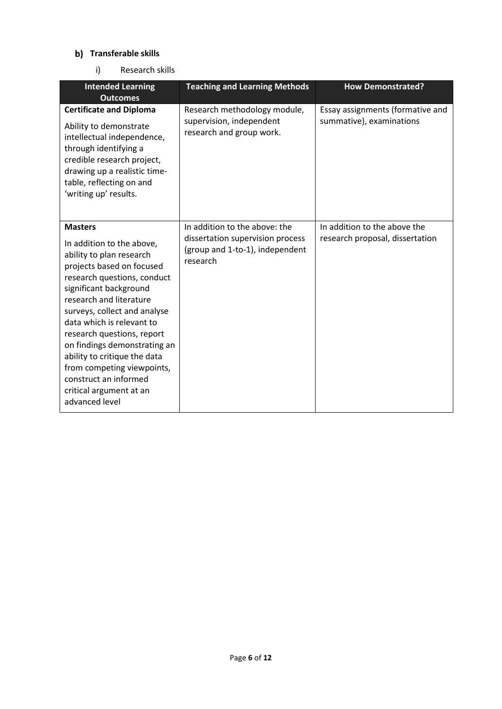# **Transferable skills**

i) Research skills

| <b>Intended Learning</b><br><b>Outcomes</b>                                                                                                                                                                                                                                                                                                                                                                                                             | <b>Teaching and Learning Methods</b>                                                                             | <b>How Demonstrated?</b>                                        |
|---------------------------------------------------------------------------------------------------------------------------------------------------------------------------------------------------------------------------------------------------------------------------------------------------------------------------------------------------------------------------------------------------------------------------------------------------------|------------------------------------------------------------------------------------------------------------------|-----------------------------------------------------------------|
| <b>Certificate and Diploma</b><br>Ability to demonstrate<br>intellectual independence,<br>through identifying a<br>credible research project,<br>drawing up a realistic time-<br>table, reflecting on and<br>'writing up' results.                                                                                                                                                                                                                      | Research methodology module,<br>supervision, independent<br>research and group work.                             | Essay assignments (formative and<br>summative), examinations    |
| <b>Masters</b><br>In addition to the above,<br>ability to plan research<br>projects based on focused<br>research questions, conduct<br>significant background<br>research and literature<br>surveys, collect and analyse<br>data which is relevant to<br>research questions, report<br>on findings demonstrating an<br>ability to critique the data<br>from competing viewpoints,<br>construct an informed<br>critical argument at an<br>advanced level | In addition to the above: the<br>dissertation supervision process<br>(group and 1-to-1), independent<br>research | In addition to the above the<br>research proposal, dissertation |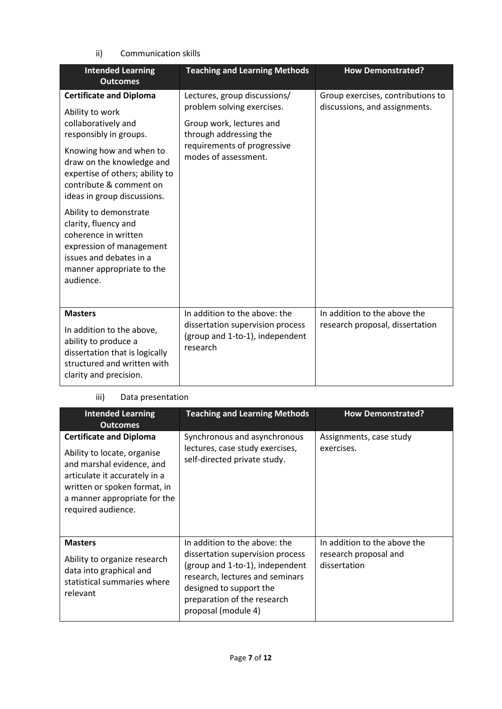# ii) Communication skills

| <b>Intended Learning</b><br><b>Outcomes</b>                                                                                                                                                                                                                                                                                                                                                                                        | <b>Teaching and Learning Methods</b>                                                                                                                                    | <b>How Demonstrated?</b>                                           |
|------------------------------------------------------------------------------------------------------------------------------------------------------------------------------------------------------------------------------------------------------------------------------------------------------------------------------------------------------------------------------------------------------------------------------------|-------------------------------------------------------------------------------------------------------------------------------------------------------------------------|--------------------------------------------------------------------|
| <b>Certificate and Diploma</b><br>Ability to work<br>collaboratively and<br>responsibly in groups.<br>Knowing how and when to<br>draw on the knowledge and<br>expertise of others; ability to<br>contribute & comment on<br>ideas in group discussions.<br>Ability to demonstrate<br>clarity, fluency and<br>coherence in written<br>expression of management<br>issues and debates in a<br>manner appropriate to the<br>audience. | Lectures, group discussions/<br>problem solving exercises.<br>Group work, lectures and<br>through addressing the<br>requirements of progressive<br>modes of assessment. | Group exercises, contributions to<br>discussions, and assignments. |
| <b>Masters</b><br>In addition to the above,<br>ability to produce a<br>dissertation that is logically<br>structured and written with<br>clarity and precision.                                                                                                                                                                                                                                                                     | In addition to the above: the<br>dissertation supervision process<br>(group and 1-to-1), independent<br>research                                                        | In addition to the above the<br>research proposal, dissertation    |

# iii) Data presentation

| <b>Intended Learning</b><br><b>Outcomes</b>                                                                                                                                                                       | <b>Teaching and Learning Methods</b>                                                                                                                                                                                     | <b>How Demonstrated?</b>                                              |
|-------------------------------------------------------------------------------------------------------------------------------------------------------------------------------------------------------------------|--------------------------------------------------------------------------------------------------------------------------------------------------------------------------------------------------------------------------|-----------------------------------------------------------------------|
| <b>Certificate and Diploma</b><br>Ability to locate, organise<br>and marshal evidence, and<br>articulate it accurately in a<br>written or spoken format, in<br>a manner appropriate for the<br>required audience. | Synchronous and asynchronous<br>lectures, case study exercises,<br>self-directed private study.                                                                                                                          | Assignments, case study<br>exercises.                                 |
| <b>Masters</b><br>Ability to organize research<br>data into graphical and<br>statistical summaries where<br>relevant                                                                                              | In addition to the above: the<br>dissertation supervision process<br>(group and 1-to-1), independent<br>research, lectures and seminars<br>designed to support the<br>preparation of the research<br>proposal (module 4) | In addition to the above the<br>research proposal and<br>dissertation |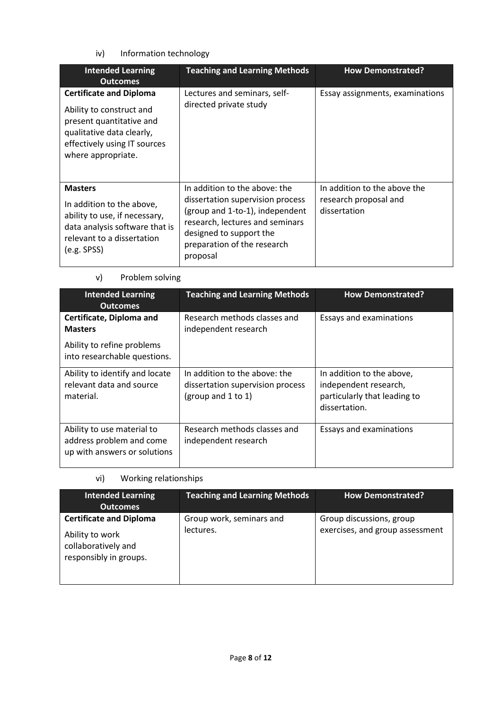iv) Information technology

| <b>Intended Learning</b><br><b>Outcomes</b>                                                                                                                               | <b>Teaching and Learning Methods</b>                                                                                                                                                                          | <b>How Demonstrated?</b>                                              |
|---------------------------------------------------------------------------------------------------------------------------------------------------------------------------|---------------------------------------------------------------------------------------------------------------------------------------------------------------------------------------------------------------|-----------------------------------------------------------------------|
| <b>Certificate and Diploma</b><br>Ability to construct and<br>present quantitative and<br>qualitative data clearly,<br>effectively using IT sources<br>where appropriate. | Lectures and seminars, self-<br>directed private study                                                                                                                                                        | Essay assignments, examinations                                       |
| <b>Masters</b><br>In addition to the above,<br>ability to use, if necessary,<br>data analysis software that is<br>relevant to a dissertation<br>(e.g. SPSS)               | In addition to the above: the<br>dissertation supervision process<br>(group and 1-to-1), independent<br>research, lectures and seminars<br>designed to support the<br>preparation of the research<br>proposal | In addition to the above the<br>research proposal and<br>dissertation |

# v) Problem solving

| <b>Intended Learning</b><br><b>Outcomes</b>                                            | <b>Teaching and Learning Methods</b>                                                    | <b>How Demonstrated?</b>                                                                            |  |
|----------------------------------------------------------------------------------------|-----------------------------------------------------------------------------------------|-----------------------------------------------------------------------------------------------------|--|
| Certificate, Diploma and<br><b>Masters</b>                                             | Research methods classes and<br>independent research                                    | Essays and examinations                                                                             |  |
| Ability to refine problems<br>into researchable questions.                             |                                                                                         |                                                                                                     |  |
| Ability to identify and locate<br>relevant data and source<br>material.                | In addition to the above: the<br>dissertation supervision process<br>(group and 1 to 1) | In addition to the above,<br>independent research,<br>particularly that leading to<br>dissertation. |  |
| Ability to use material to<br>address problem and come<br>up with answers or solutions | Research methods classes and<br>independent research                                    | Essays and examinations                                                                             |  |

# vi) Working relationships

| <b>Intended Learning</b><br><b>Outcomes</b>                                                        | <b>Teaching and Learning Methods</b>  | <b>How Demonstrated?</b>                                    |
|----------------------------------------------------------------------------------------------------|---------------------------------------|-------------------------------------------------------------|
| <b>Certificate and Diploma</b><br>Ability to work<br>collaboratively and<br>responsibly in groups. | Group work, seminars and<br>lectures. | Group discussions, group<br>exercises, and group assessment |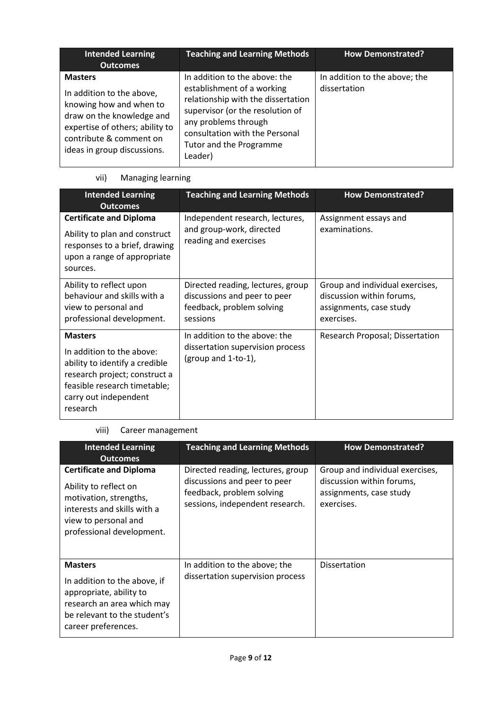| <b>Intended Learning</b><br><b>Outcomes</b>                                                                                                                                                      | <b>Teaching and Learning Methods</b>                                                                                                                                                                                                  | <b>How Demonstrated?</b>                      |
|--------------------------------------------------------------------------------------------------------------------------------------------------------------------------------------------------|---------------------------------------------------------------------------------------------------------------------------------------------------------------------------------------------------------------------------------------|-----------------------------------------------|
| <b>Masters</b><br>In addition to the above,<br>knowing how and when to<br>draw on the knowledge and<br>expertise of others; ability to<br>contribute & comment on<br>ideas in group discussions. | In addition to the above: the<br>establishment of a working<br>relationship with the dissertation<br>supervisor (or the resolution of<br>any problems through<br>consultation with the Personal<br>Tutor and the Programme<br>Leader) | In addition to the above; the<br>dissertation |

# vii) Managing learning

| <b>Intended Learning</b><br><b>Outcomes</b>                                                                                                                                         | <b>Teaching and Learning Methods</b>                                                                       | <b>How Demonstrated?</b>                                                                              |
|-------------------------------------------------------------------------------------------------------------------------------------------------------------------------------------|------------------------------------------------------------------------------------------------------------|-------------------------------------------------------------------------------------------------------|
| <b>Certificate and Diploma</b><br>Ability to plan and construct<br>responses to a brief, drawing<br>upon a range of appropriate<br>sources.                                         | Independent research, lectures,<br>and group-work, directed<br>reading and exercises                       | Assignment essays and<br>examinations.                                                                |
| Ability to reflect upon<br>behaviour and skills with a<br>view to personal and<br>professional development.                                                                         | Directed reading, lectures, group<br>discussions and peer to peer<br>feedback, problem solving<br>sessions | Group and individual exercises,<br>discussion within forums,<br>assignments, case study<br>exercises. |
| <b>Masters</b><br>In addition to the above:<br>ability to identify a credible<br>research project; construct a<br>feasible research timetable;<br>carry out independent<br>research | In addition to the above: the<br>dissertation supervision process<br>(group and $1$ -to-1),                | Research Proposal; Dissertation                                                                       |

# viii) Career management

| <b>Intended Learning</b><br><b>Outcomes</b>                                                                                                                           | <b>Teaching and Learning Methods</b>                                                                                              | <b>How Demonstrated?</b>                                                                              |
|-----------------------------------------------------------------------------------------------------------------------------------------------------------------------|-----------------------------------------------------------------------------------------------------------------------------------|-------------------------------------------------------------------------------------------------------|
| <b>Certificate and Diploma</b><br>Ability to reflect on<br>motivation, strengths,<br>interests and skills with a<br>view to personal and<br>professional development. | Directed reading, lectures, group<br>discussions and peer to peer<br>feedback, problem solving<br>sessions, independent research. | Group and individual exercises,<br>discussion within forums,<br>assignments, case study<br>exercises. |
| <b>Masters</b><br>In addition to the above, if<br>appropriate, ability to<br>research an area which may<br>be relevant to the student's<br>career preferences.        | In addition to the above; the<br>dissertation supervision process                                                                 | <b>Dissertation</b>                                                                                   |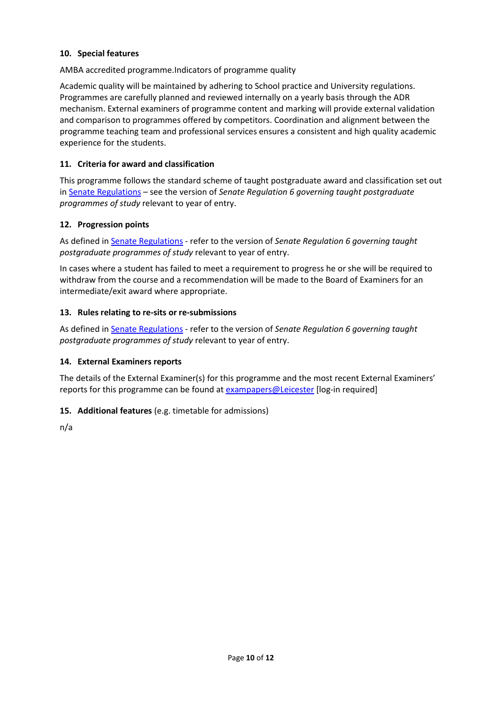# **10. Special features**

AMBA accredited programme.Indicators of programme quality

Academic quality will be maintained by adhering to School practice and University regulations. Programmes are carefully planned and reviewed internally on a yearly basis through the ADR mechanism. External examiners of programme content and marking will provide external validation and comparison to programmes offered by competitors. Coordination and alignment between the programme teaching team and professional services ensures a consistent and high quality academic experience for the students.

#### **11. Criteria for award and classification**

This programme follows the standard scheme of taught postgraduate award and classification set out i[n Senate Regulations](http://www.le.ac.uk/senate-regulations) – see the version of *Senate Regulation 6 governing taught postgraduate programmes of study* relevant to year of entry.

#### **12. Progression points**

As defined i[n Senate Regulations](http://www.le.ac.uk/senate-regulation6) - refer to the version of *Senate Regulation 6 governing taught postgraduate programmes of study* relevant to year of entry.

In cases where a student has failed to meet a requirement to progress he or she will be required to withdraw from the course and a recommendation will be made to the Board of Examiners for an intermediate/exit award where appropriate.

#### **13. Rules relating to re-sits or re-submissions**

As defined i[n Senate Regulations](http://www.le.ac.uk/senate-regulation6) - refer to the version of *Senate Regulation 6 governing taught postgraduate programmes of study* relevant to year of entry.

#### **14. External Examiners reports**

The details of the External Examiner(s) for this programme and the most recent External Examiners' reports for this programme can be found at **exampapers@Leicester** [log-in required]

# **15. Additional features** (e.g. timetable for admissions)

n/a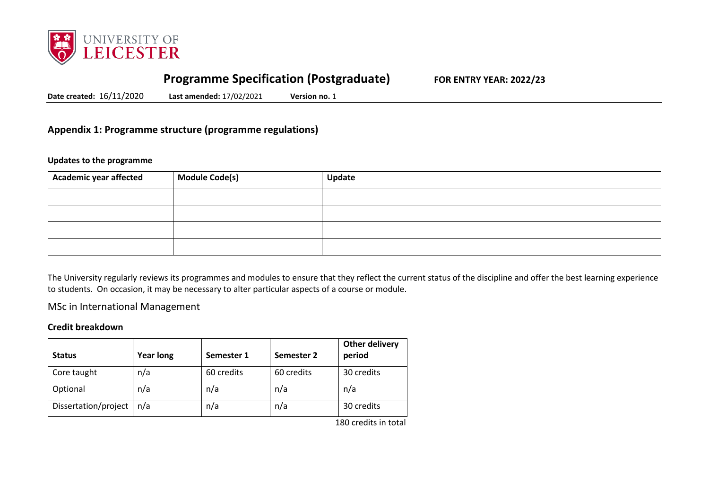

# **Programme Specification (Postgraduate) FOR ENTRY YEAR: 2022/23**

**Date created:** 16/11/2020 **Last amended:** 17/02/2021 **Version no.** 1

# **Appendix 1: Programme structure (programme regulations)**

#### **Updates to the programme**

| Academic year affected | <b>Module Code(s)</b> | Update |
|------------------------|-----------------------|--------|
|                        |                       |        |
|                        |                       |        |
|                        |                       |        |
|                        |                       |        |

The University regularly reviews its programmes and modules to ensure that they reflect the current status of the discipline and offer the best learning experience to students. On occasion, it may be necessary to alter particular aspects of a course or module.

MSc in International Management

#### **Credit breakdown**

| <b>Status</b>        | <b>Year long</b> | Semester 1 | Semester 2 | <b>Other delivery</b><br>period |
|----------------------|------------------|------------|------------|---------------------------------|
| Core taught          | n/a              | 60 credits | 60 credits | 30 credits                      |
| Optional             | n/a              | n/a        | n/a        | n/a                             |
| Dissertation/project | n/a              | n/a        | n/a        | 30 credits                      |

180 credits in total